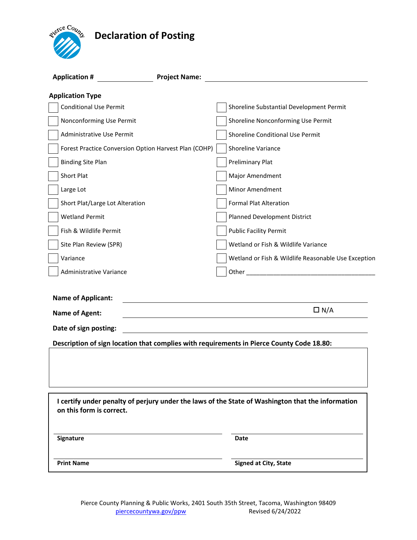# **Declaration of Posting**



| <b>Application #</b>                                  | <b>Project Name:</b>                                                                              |
|-------------------------------------------------------|---------------------------------------------------------------------------------------------------|
| <b>Application Type</b>                               |                                                                                                   |
| <b>Conditional Use Permit</b>                         | Shoreline Substantial Development Permit                                                          |
| Nonconforming Use Permit                              | Shoreline Nonconforming Use Permit                                                                |
| Administrative Use Permit                             | Shoreline Conditional Use Permit                                                                  |
| Forest Practice Conversion Option Harvest Plan (COHP) | Shoreline Variance                                                                                |
| <b>Binding Site Plan</b>                              | <b>Preliminary Plat</b>                                                                           |
| Short Plat                                            | Major Amendment                                                                                   |
| Large Lot                                             | Minor Amendment                                                                                   |
| Short Plat/Large Lot Alteration                       | <b>Formal Plat Alteration</b>                                                                     |
| <b>Wetland Permit</b>                                 | Planned Development District                                                                      |
| Fish & Wildlife Permit                                | <b>Public Facility Permit</b>                                                                     |
| Site Plan Review (SPR)                                | Wetland or Fish & Wildlife Variance                                                               |
| Variance                                              | Wetland or Fish & Wildlife Reasonable Use Exception                                               |
| Administrative Variance                               |                                                                                                   |
| <b>Name of Applicant:</b><br><b>Name of Agent:</b>    | $\Box N/A$                                                                                        |
| Date of sign posting:                                 |                                                                                                   |
|                                                       | Description of sign location that complies with requirements in Pierce County Code 18.80:         |
|                                                       |                                                                                                   |
|                                                       |                                                                                                   |
| on this form is correct.                              | I certify under penalty of perjury under the laws of the State of Washington that the information |
| Signature                                             | Date                                                                                              |
| <b>Print Name</b>                                     | <b>Signed at City, State</b>                                                                      |